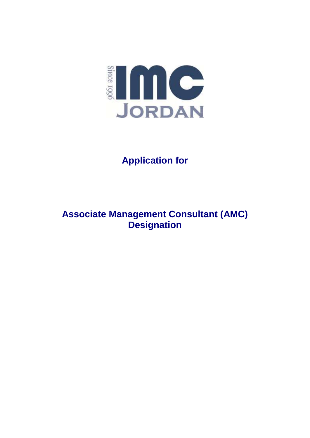

# **Application for**

## **Associate Management Consultant (AMC) Designation**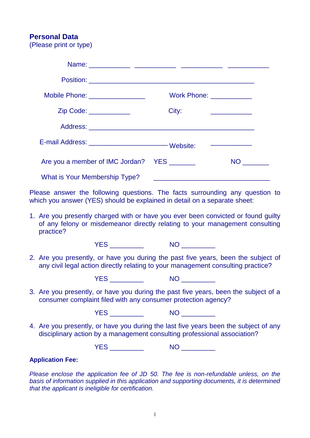### **Personal Data**

(Please print or type)

| Mobile Phone: _________________             | Work Phone: ____________ |                                            |
|---------------------------------------------|--------------------------|--------------------------------------------|
| Zip Code: ____________                      | City:                    | <u> 1989 - Johann John Harrison, franc</u> |
|                                             |                          |                                            |
|                                             |                          |                                            |
| Are you a member of IMC Jordan? YES _______ |                          | NO <sub>co</sub>                           |
| <b>What is Your Membership Type?</b>        |                          |                                            |

Please answer the following questions. The facts surrounding any question to which you answer (YES) should be explained in detail on a separate sheet:

1. Are you presently charged with or have you ever been convicted or found guilty of any felony or misdemeanor directly relating to your management consulting practice?

YES NO NO

2. Are you presently, or have you during the past five years, been the subject of any civil legal action directly relating to your management consulting practice?

YES NO NO LOCAL THE NO LOCAL THE SAME RESERVE TO A LOCAL THE SAME RESERVE TO A LOCAL THE SAME RESERVE TO A LOCAL THE SAME RESERVE TO A LOCAL THE SAME RESERVE TO A LOCAL THE SAME RESERVE TO A LOCAL THE SAME RESERVE TO A LOC

3. Are you presently, or have you during the past five years, been the subject of a consumer complaint filed with any consumer protection agency?

YES NO NO LOCAL NO LOCAL TRANSPORTER THE SAME RESERVE THAT AND THE SAME RESERVE THAT AND THE SAME RESERVE THAT A THE SAME RESERVE THAT A SAME RESERVE THAT A THE SAME RESERVE THAT A SAME RESERVE THAT A THE SAME RESERVE THAT

4. Are you presently, or have you during the last five years been the subject of any disciplinary action by a management consulting professional association?

YES \_\_\_\_\_\_\_\_\_\_\_\_ NO \_\_\_\_\_\_\_\_\_

#### **Application Fee:**

*Please enclose the application fee of JD 50. The fee is non-refundable unless, on the basis of information supplied in this application and supporting documents, it is determined that the applicant is ineligible for certification.*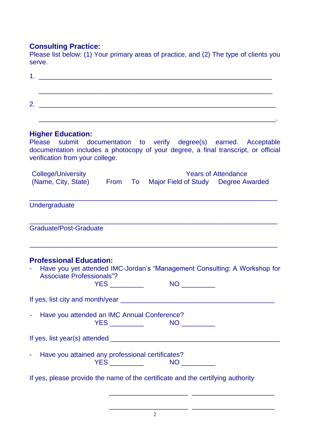## **Consulting Practice:**

Please list below: (1) Your primary areas of practice, and (2) The type of clients you serve.

| ,我们也不能在这里的时候,我们也不能在这里的时候,我们也不能会在这里的时候,我们也不能会在这里的时候,我们也不能会在这里的时候,我们也不能会在这里的时候,我们也                                                                                                                                        |
|-------------------------------------------------------------------------------------------------------------------------------------------------------------------------------------------------------------------------|
| <b>Higher Education:</b><br>Please submit documentation to verify degree(s) earned. Acceptable<br>documentation includes a photocopy of your degree, a final transcript, or official<br>verification from your college. |
| College/University<br><b>Years of Attendance</b><br>(Name, City, State) From To Major Field of Study Degree Awarded                                                                                                     |
| Undergraduate                                                                                                                                                                                                           |
| Graduate/Post-Graduate                                                                                                                                                                                                  |
| <b>Professional Education:</b><br>Have you yet attended IMC-Jordan's "Management Consulting: A Workshop for<br><b>Associate Professionals"?</b><br><b>YES __________</b>                                                |
|                                                                                                                                                                                                                         |
| Have you attended an IMC Annual Conference?<br>$\blacksquare$                                                                                                                                                           |
|                                                                                                                                                                                                                         |
| Have you attained any professional certificates?<br>YES ____________    NO __________                                                                                                                                   |
| If yes, please provide the name of the certificate and the certifying authority                                                                                                                                         |

\_\_\_\_\_\_\_\_\_\_\_\_\_\_\_\_\_\_\_\_\_ \_\_\_\_\_\_\_\_\_\_\_\_\_\_\_\_\_\_\_\_\_\_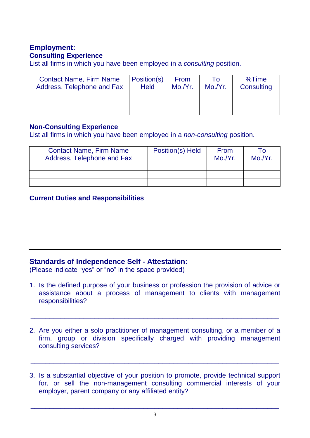## **Employment: Consulting Experience**

List all firms in which you have been employed in a *consulting* position.

| <b>Contact Name, Firm Name</b><br>Address, Telephone and Fax | Position(s)<br><b>Held</b> | From<br>Mo/Yr. | To<br>Mo/Yr. | %Time<br>Consulting |
|--------------------------------------------------------------|----------------------------|----------------|--------------|---------------------|
|                                                              |                            |                |              |                     |
|                                                              |                            |                |              |                     |
|                                                              |                            |                |              |                     |

### **Non-Consulting Experience**

List all firms in which you have been employed in a *non-consulting* position.

| <b>Contact Name, Firm Name</b><br>Address, Telephone and Fax | Position(s) Held | From<br>Mo./Yr. | To<br>Mo./Yr. |
|--------------------------------------------------------------|------------------|-----------------|---------------|
|                                                              |                  |                 |               |
|                                                              |                  |                 |               |
|                                                              |                  |                 |               |

## **Current Duties and Responsibilities**

## **Standards of Independence Self - Attestation:**

(Please indicate "yes" or "no" in the space provided)

1. Is the defined purpose of your business or profession the provision of advice or assistance about a process of management to clients with management responsibilities?

 $\overline{a_1}$  , and the set of the set of the set of the set of the set of the set of the set of the set of the set of the set of the set of the set of the set of the set of the set of the set of the set of the set of the se

2. Are you either a solo practitioner of management consulting, or a member of a firm, group or division specifically charged with providing management consulting services?

 $\overline{a_1}$  ,  $\overline{a_2}$  ,  $\overline{a_3}$  ,  $\overline{a_4}$  ,  $\overline{a_5}$  ,  $\overline{a_6}$  ,  $\overline{a_7}$  ,  $\overline{a_8}$  ,  $\overline{a_9}$  ,  $\overline{a_9}$  ,  $\overline{a_9}$  ,  $\overline{a_9}$  ,  $\overline{a_9}$  ,  $\overline{a_9}$  ,  $\overline{a_9}$  ,  $\overline{a_9}$  ,  $\overline{a_9}$  ,

3. Is a substantial objective of your position to promote, provide technical support for, or sell the non-management consulting commercial interests of your employer, parent company or any affiliated entity?